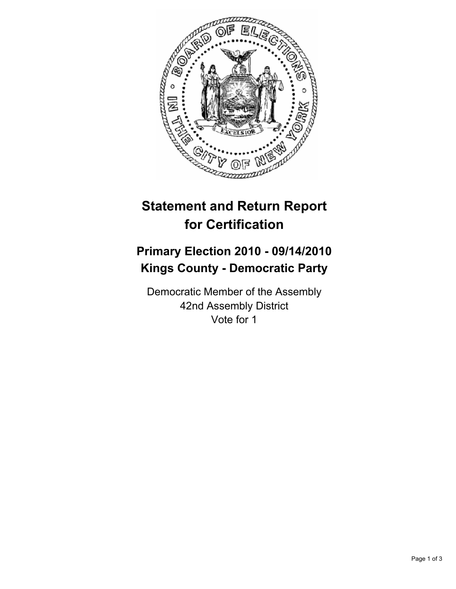

## **Statement and Return Report for Certification**

## **Primary Election 2010 - 09/14/2010 Kings County - Democratic Party**

Democratic Member of the Assembly 42nd Assembly District Vote for 1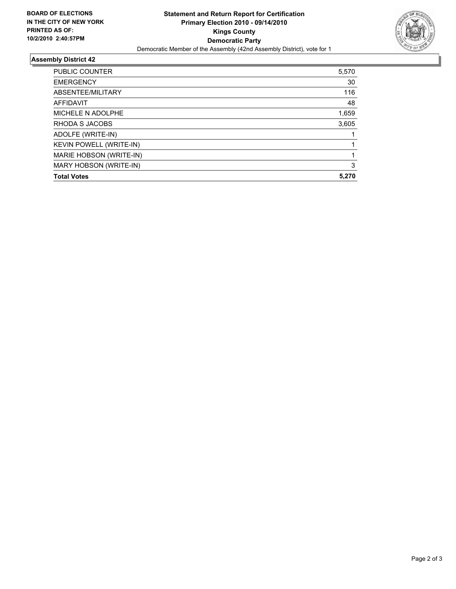

## **Assembly District 42**

| <b>PUBLIC COUNTER</b>          | 5,570 |
|--------------------------------|-------|
|                                |       |
| <b>EMERGENCY</b>               | 30    |
| ABSENTEE/MILITARY              | 116   |
| <b>AFFIDAVIT</b>               | 48    |
| MICHELE N ADOLPHE              | 1,659 |
| RHODA S JACOBS                 | 3,605 |
| ADOLFE (WRITE-IN)              |       |
| <b>KEVIN POWELL (WRITE-IN)</b> |       |
| MARIE HOBSON (WRITE-IN)        |       |
| MARY HOBSON (WRITE-IN)         | 3     |
| <b>Total Votes</b>             | 5.270 |